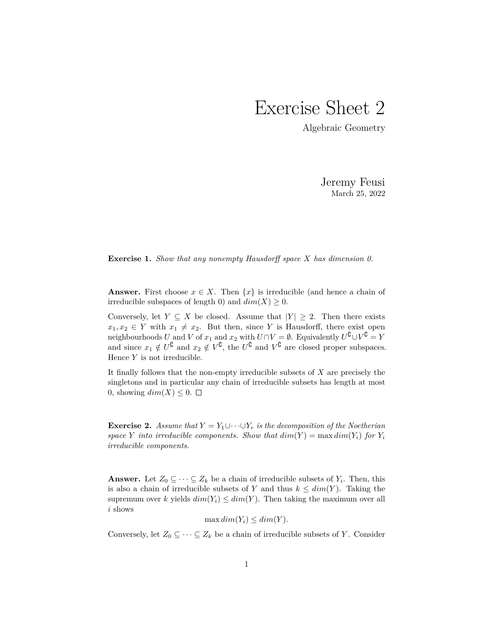## Exercise Sheet 2

Algebraic Geometry

Jeremy Feusi March 25, 2022

**Exercise 1.** *Show that any nonempty Hausdorff space X has dimension 0.*

**Answer.** First choose  $x \in X$ . Then  $\{x\}$  is irreducible (and hence a chain of irreducible subspaces of length 0) and  $dim(X) \geq 0$ .

Conversely, let *Y*  $\subseteq$  *X* be closed. Assume that  $|Y| \geq 2$ . Then there exists  $x_1, x_2 \in Y$  with  $x_1 \neq x_2$ . But then, since *Y* is Hausdorff, there exist open neighbourhoods *U* and *V* of  $x_1$  and  $x_2$  with  $U \cap V = \emptyset$ . Equivalently  $U^{\complement} \cup V^{\complement} = Y$ and since  $x_1 \notin U^{\complement}$  and  $x_2 \notin V^{\complement}$ , the  $U^{\complement}$  and  $V^{\complement}$  are closed proper subspaces. Hence *Y* is not irreducible.

It finally follows that the non-empty irreducible subsets of *X* are precisely the singletons and in particular any chain of irreducible subsets has length at most 0, showing  $dim(X) \leq 0$ .  $\Box$ 

**Exercise 2.** *Assume that*  $Y = Y_1 \cup \cdots \cup Y_r$  *is the decomposition of the Noetherian space Y into irreducible components. Show that*  $dim(Y) = max dim(Y_i)$  *for*  $Y_i$ *irreducible components.*

**Answer.** Let  $Z_0 \subseteq \cdots \subseteq Z_k$  be a chain of irreducible subsets of  $Y_i$ . Then, this is also a chain of irreducible subsets of *Y* and thus  $k \le dim(Y)$ . Taking the supremum over *k* yields  $dim(Y_i) \leq dim(Y)$ . Then taking the maximum over all *i* shows

$$
\max dim(Y_i) \le dim(Y).
$$

Conversely, let  $Z_0 \subseteq \cdots \subseteq Z_k$  be a chain of irreducible subsets of *Y*. Consider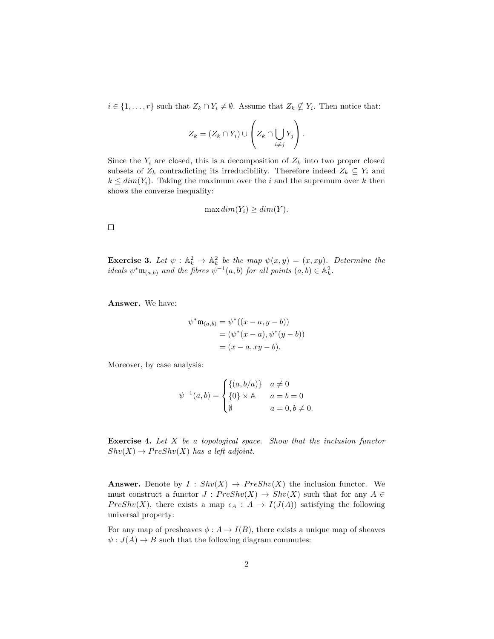*i* ∈ {1, ..., *r*} such that  $Z_k \cap Y_i \neq \emptyset$ . Assume that  $Z_k \nsubseteq Y_i$ . Then notice that:

$$
Z_k = (Z_k \cap Y_i) \cup \left( Z_k \cap \bigcup_{i \neq j} Y_j \right).
$$

Since the  $Y_i$  are closed, this is a decomposition of  $Z_k$  into two proper closed subsets of  $Z_k$  contradicting its irreducibility. Therefore indeed  $Z_k \subseteq Y_i$  and  $k \le dim(Y_i)$ . Taking the maximum over the *i* and the supremum over *k* then shows the converse inequality:

$$
\max dim(Y_i) \ge dim(Y).
$$

 $\Box$ 

**Exercise 3.** Let  $\psi$  :  $\mathbb{A}_k^2 \to \mathbb{A}_k^2$  be the map  $\psi(x, y) = (x, xy)$ . Determine the *ideals*  $\psi^* \mathfrak{m}_{(a,b)}$  *and the fibres*  $\psi^{-1}(a,b)$  *for all points*  $(a,b) \in \mathbb{A}_k^2$ .

**Answer.** We have:

$$
\psi^* \mathfrak{m}_{(a,b)} = \psi^* ((x - a, y - b))
$$
  
= (\psi^\* (x - a), \psi^\* (y - b))  
= (x - a, xy - b).

Moreover, by case analysis:

$$
\psi^{-1}(a, b) = \begin{cases} \{(a, b/a)\} & a \neq 0 \\ \{0\} \times \mathbb{A} & a = b = 0 \\ \emptyset & a = 0, b \neq 0. \end{cases}
$$

**Exercise 4.** *Let X be a topological space. Show that the inclusion functor*  $Shv(X) \rightarrow PreShv(X)$  *has a left adjoint.* 

**Answer.** Denote by  $I : Shv(X) \rightarrow Preshv(X)$  the inclusion functor. We must construct a functor  $J : PreShv(X) \to Shv(X)$  such that for any  $A \in$ *PreShv*(*X*), there exists a map  $\epsilon_A : A \to I(J(A))$  satisfying the following universal property:

For any map of presheaves  $\phi: A \to I(B)$ , there exists a unique map of sheaves  $\psi: J(A) \to B$  such that the following diagram commutes: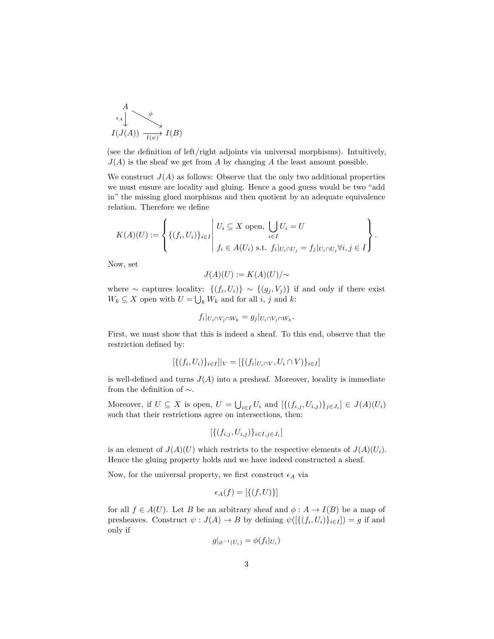

(see the definition of left/right adjoints via universal morphisms). Intuitively,  $J(A)$  is the sheaf we get from *A* by changing *A* the least amount possible.

We construct  $J(A)$  as follows: Observe that the only two additional properties we must ensure are locality and gluing. Hence a good guess would be two "add in" the missing glued morphisms and then quotient by an adequate equivalence relation. Therefore we define

$$
K(A)(U) := \left\{ \{ (f_i, U_i) \}_{i \in I} \middle| \begin{array}{l} U_i \subseteq X \text{ open}, \bigcup_{i \in I} U_i = U \\ \vdots \\ f_i \in A(U_i) \text{ s.t. } f_i|_{U_i \cap U_j} = f_j|_{U_i \cap U_j} \forall i, j \in I \end{array} \right\}.
$$

Now, set

$$
J(A)(U) := K(A)(U)/\sim
$$

where  $\sim$  captures locality:  $\{(f_i, U_i)\}\sim \{(g_j, V_j)\}\$ if and only if there exist  $W_k \subseteq X$  open with  $U = \bigcup_k W_k$  and for all *i*, *j* and *k*:

$$
f_i|_{U_i \cap V_j \cap W_k} = g_j|_{U_i \cap V_j \cap W_k}.
$$

First, we must show that this is indeed a sheaf. To this end, observe that the restriction defined by:

$$
[\{(f_i, U_i)\}_{i \in I}]|_V = [\{(f_i|_{U_i \cap V}, U_i \cap V)\}_{i \in I}]
$$

is well-defined and turns  $J(A)$  into a presheaf. Moreover, locality is immediate from the definition of  $\sim$ .

Moreover, if  $U \subseteq X$  is open,  $U = \bigcup_{i \in I} U_i$  and  $[\{(f_{i,j}, U_{i,j})\}_{j \in J_i}] \in J(A)(U_i)$ such that their restrictions agree on intersections, then:

$$
[\{(f_{i,j}, U_{i,j})\}_{i \in I, j \in J_i}]
$$

is an element of  $J(A)(U)$  which restricts to the respective elements of  $J(A)(U_i)$ . Hence the gluing property holds and we have indeed constructed a sheaf.

Now, for the universal property, we first construct  $\epsilon_A$  via

$$
\epsilon_A(f) = [\{(f, U)\}]
$$

for all  $f \in A(U)$ . Let *B* be an arbitrary sheaf and  $\phi : A \to I(B)$  be a map of presheaves. Construct  $\psi : J(A) \to B$  by defining  $\psi([\{(f_i, U_i)\}_{i \in I}]) = g$  if and only if

$$
g|_{\phi^{-1}(U_i)} = \phi(f_i|_{U_i})
$$